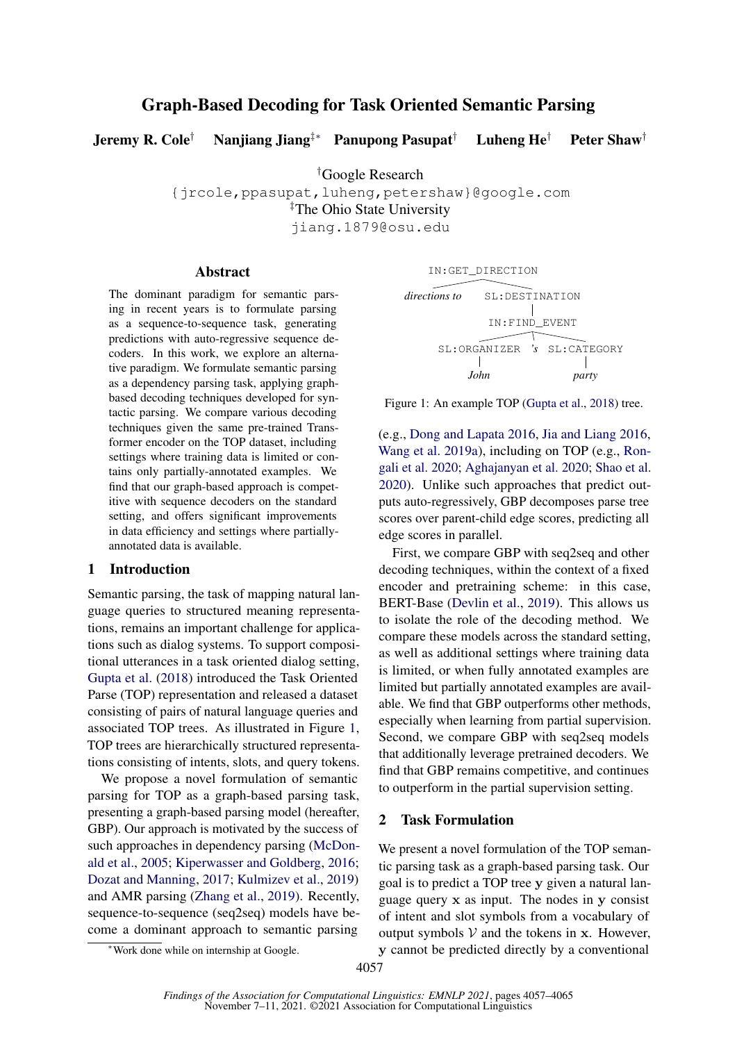# Graph-Based Decoding for Task Oriented Semantic Parsing

Jeremy R. Cole† Nanjiang Jiang‡∗ Panupong Pasupat† Luheng He† Peter Shaw†

†Google Research

{jrcole,ppasupat,luheng,petershaw}@google.com

‡The Ohio State University

jiang.1879@osu.edu

## Abstract

The dominant paradigm for semantic parsing in recent years is to formulate parsing as a sequence-to-sequence task, generating predictions with auto-regressive sequence decoders. In this work, we explore an alternative paradigm. We formulate semantic parsing as a dependency parsing task, applying graphbased decoding techniques developed for syntactic parsing. We compare various decoding techniques given the same pre-trained Transformer encoder on the TOP dataset, including settings where training data is limited or contains only partially-annotated examples. We find that our graph-based approach is competitive with sequence decoders on the standard setting, and offers significant improvements in data efficiency and settings where partiallyannotated data is available.

## 1 Introduction

Semantic parsing, the task of mapping natural language queries to structured meaning representations, remains an important challenge for applications such as dialog systems. To support compositional utterances in a task oriented dialog setting, [Gupta et al.](#page-5-0) [\(2018\)](#page-5-0) introduced the Task Oriented Parse (TOP) representation and released a dataset consisting of pairs of natural language queries and associated TOP trees. As illustrated in Figure [1,](#page-0-0) TOP trees are hierarchically structured representations consisting of intents, slots, and query tokens.

We propose a novel formulation of semantic parsing for TOP as a graph-based parsing task, presenting a graph-based parsing model (hereafter, GBP). Our approach is motivated by the success of such approaches in dependency parsing [\(McDon](#page-6-0)[ald et al.,](#page-6-0) [2005;](#page-6-0) [Kiperwasser and Goldberg,](#page-5-1) [2016;](#page-5-1) [Dozat and Manning,](#page-5-2) [2017;](#page-5-2) [Kulmizev et al.,](#page-5-3) [2019\)](#page-5-3) and AMR parsing [\(Zhang et al.,](#page-6-1) [2019\)](#page-6-1). Recently, sequence-to-sequence (seq2seq) models have become a dominant approach to semantic parsing

<span id="page-0-0"></span>

Figure 1: An example TOP [\(Gupta et al.,](#page-5-0) [2018\)](#page-5-0) tree.

(e.g., [Dong and Lapata](#page-5-4) [2016,](#page-5-4) [Jia and Liang](#page-5-5) [2016,](#page-5-5) [Wang et al.](#page-6-2) [2019a\)](#page-6-2), including on TOP (e.g., [Ron](#page-6-3)[gali et al.](#page-6-3) [2020;](#page-6-3) [Aghajanyan et al.](#page-5-6) [2020;](#page-5-6) [Shao et al.](#page-6-4) [2020\)](#page-6-4). Unlike such approaches that predict outputs auto-regressively, GBP decomposes parse tree scores over parent-child edge scores, predicting all edge scores in parallel.

First, we compare GBP with seq2seq and other decoding techniques, within the context of a fixed encoder and pretraining scheme: in this case, BERT-Base [\(Devlin et al.,](#page-5-7) [2019\)](#page-5-7). This allows us to isolate the role of the decoding method. We compare these models across the standard setting, as well as additional settings where training data is limited, or when fully annotated examples are limited but partially annotated examples are available. We find that GBP outperforms other methods, especially when learning from partial supervision. Second, we compare GBP with seq2seq models that additionally leverage pretrained decoders. We find that GBP remains competitive, and continues to outperform in the partial supervision setting.

## 2 Task Formulation

We present a novel formulation of the TOP semantic parsing task as a graph-based parsing task. Our goal is to predict a TOP tree y given a natural language query x as input. The nodes in y consist of intent and slot symbols from a vocabulary of output symbols  $V$  and the tokens in x. However, y cannot be predicted directly by a conventional

<sup>∗</sup>Work done while on internship at Google.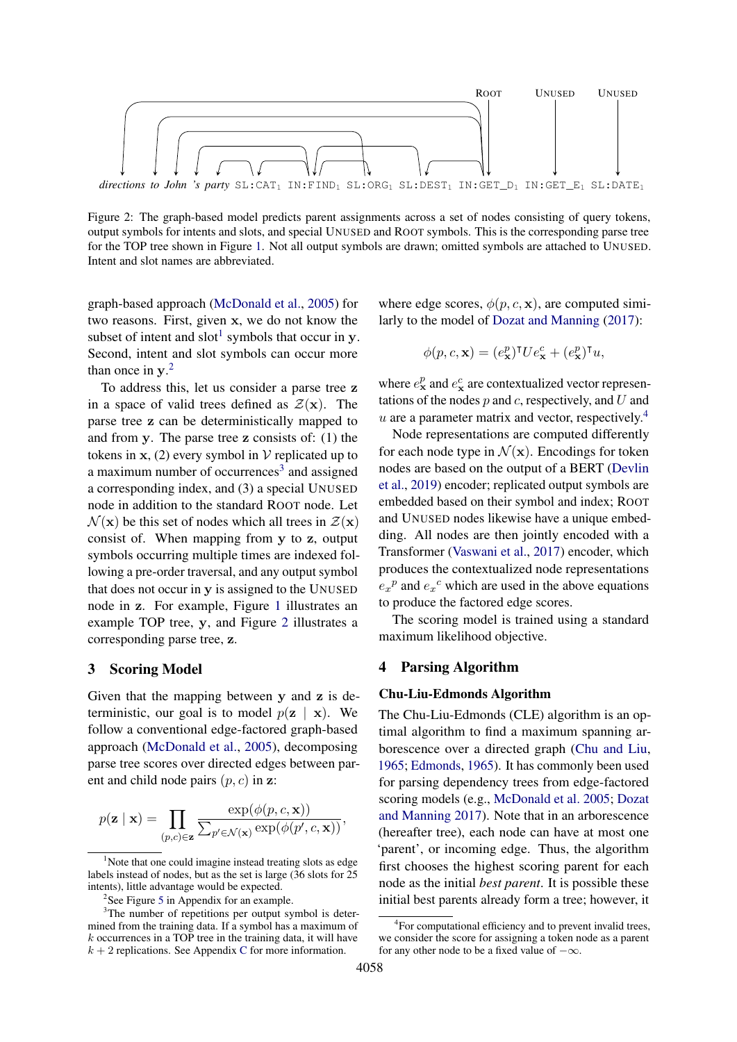<span id="page-1-3"></span>

Figure 2: The graph-based model predicts parent assignments across a set of nodes consisting of query tokens, output symbols for intents and slots, and special UNUSED and ROOT symbols. This is the corresponding parse tree for the TOP tree shown in Figure [1.](#page-0-0) Not all output symbols are drawn; omitted symbols are attached to UNUSED. Intent and slot names are abbreviated.

graph-based approach [\(McDonald et al.,](#page-6-0) [2005\)](#page-6-0) for two reasons. First, given x, we do not know the subset of intent and slot<sup>[1](#page-1-0)</sup> symbols that occur in y. Second, intent and slot symbols can occur more than once in  $y$ <sup>[2](#page-1-1)</sup>

To address this, let us consider a parse tree z in a space of valid trees defined as  $\mathcal{Z}(\mathbf{x})$ . The parse tree z can be deterministically mapped to and from y. The parse tree z consists of: (1) the tokens in  $x$ , (2) every symbol in  $V$  replicated up to a maximum number of occurrences<sup>[3](#page-1-2)</sup> and assigned a corresponding index, and (3) a special UNUSED node in addition to the standard ROOT node. Let  $\mathcal{N}(\mathbf{x})$  be this set of nodes which all trees in  $\mathcal{Z}(\mathbf{x})$ consist of. When mapping from y to z, output symbols occurring multiple times are indexed following a pre-order traversal, and any output symbol that does not occur in y is assigned to the UNUSED node in z. For example, Figure [1](#page-0-0) illustrates an example TOP tree, y, and Figure [2](#page-1-3) illustrates a corresponding parse tree, z.

### <span id="page-1-5"></span>3 Scoring Model

Given that the mapping between y and z is deterministic, our goal is to model  $p(\mathbf{z} \mid \mathbf{x})$ . We follow a conventional edge-factored graph-based approach [\(McDonald et al.,](#page-6-0) [2005\)](#page-6-0), decomposing parse tree scores over directed edges between parent and child node pairs  $(p, c)$  in z:

$$
p(\mathbf{z} \mid \mathbf{x}) = \prod_{(p,c) \in \mathbf{z}} \frac{\exp(\phi(p,c,\mathbf{x}))}{\sum_{p' \in \mathcal{N}(\mathbf{x})} \exp(\phi(p',c,\mathbf{x}))},
$$

where edge scores,  $\phi(p, c, \mathbf{x})$ , are computed similarly to the model of [Dozat and Manning](#page-5-2) [\(2017\)](#page-5-2):

$$
\phi(p,c,\mathbf{x}) = (e_{\mathbf{x}}^p)^\mathsf{T} U e_{\mathbf{x}}^c + (e_{\mathbf{x}}^p)^\mathsf{T} u,
$$

where  $e_{\mathbf{x}}^p$  and  $e_{\mathbf{x}}^c$  are contextualized vector representations of the nodes  $p$  and  $c$ , respectively, and  $U$  and  $u$  are a parameter matrix and vector, respectively.<sup>[4](#page-1-4)</sup>

Node representations are computed differently for each node type in  $\mathcal{N}(x)$ . Encodings for token nodes are based on the output of a BERT [\(Devlin](#page-5-7) [et al.,](#page-5-7) [2019\)](#page-5-7) encoder; replicated output symbols are embedded based on their symbol and index; ROOT and UNUSED nodes likewise have a unique embedding. All nodes are then jointly encoded with a Transformer [\(Vaswani et al.,](#page-6-5) [2017\)](#page-6-5) encoder, which produces the contextualized node representations  $e_x^p$  and  $e_x^c$  which are used in the above equations to produce the factored edge scores.

The scoring model is trained using a standard maximum likelihood objective.

#### 4 Parsing Algorithm

#### Chu-Liu-Edmonds Algorithm

The Chu-Liu-Edmonds (CLE) algorithm is an optimal algorithm to find a maximum spanning arborescence over a directed graph [\(Chu and Liu,](#page-5-8) [1965;](#page-5-8) [Edmonds,](#page-5-9) [1965\)](#page-5-9). It has commonly been used for parsing dependency trees from edge-factored scoring models (e.g., [McDonald et al.](#page-6-0) [2005;](#page-6-0) [Dozat](#page-5-2) [and Manning](#page-5-2) [2017\)](#page-5-2). Note that in an arborescence (hereafter tree), each node can have at most one 'parent', or incoming edge. Thus, the algorithm first chooses the highest scoring parent for each node as the initial *best parent*. It is possible these initial best parents already form a tree; however, it

<span id="page-1-0"></span><sup>&</sup>lt;sup>1</sup>Note that one could imagine instead treating slots as edge labels instead of nodes, but as the set is large (36 slots for 25 intents), little advantage would be expected.

<span id="page-1-2"></span><span id="page-1-1"></span><sup>&</sup>lt;sup>2</sup>See Figure [5](#page-8-0) in Appendix for an example.

<sup>&</sup>lt;sup>3</sup>The number of repetitions per output symbol is determined from the training data. If a symbol has a maximum of  $k$  occurrences in a TOP tree in the training data, it will have  $k + 2$  replications. See Appendix [C](#page-8-1) for more information.

<span id="page-1-4"></span><sup>&</sup>lt;sup>4</sup>For computational efficiency and to prevent invalid trees, we consider the score for assigning a token node as a parent for any other node to be a fixed value of  $-\infty$ .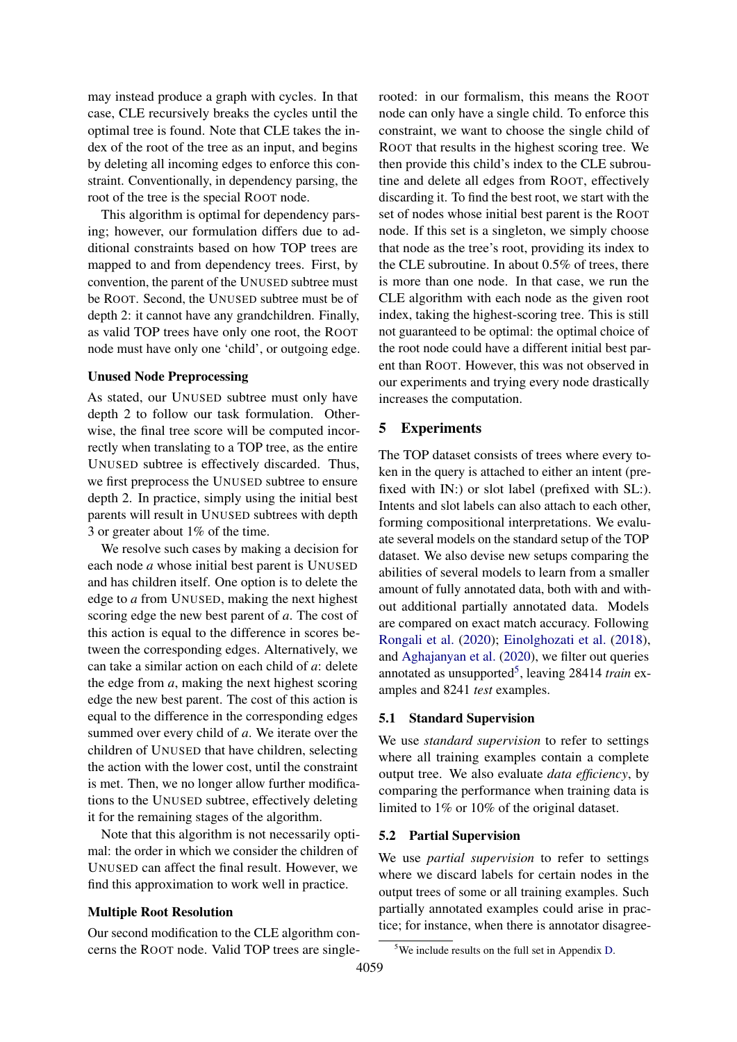may instead produce a graph with cycles. In that case, CLE recursively breaks the cycles until the optimal tree is found. Note that CLE takes the index of the root of the tree as an input, and begins by deleting all incoming edges to enforce this constraint. Conventionally, in dependency parsing, the root of the tree is the special ROOT node.

This algorithm is optimal for dependency parsing; however, our formulation differs due to additional constraints based on how TOP trees are mapped to and from dependency trees. First, by convention, the parent of the UNUSED subtree must be ROOT. Second, the UNUSED subtree must be of depth 2: it cannot have any grandchildren. Finally, as valid TOP trees have only one root, the ROOT node must have only one 'child', or outgoing edge.

#### Unused Node Preprocessing

As stated, our UNUSED subtree must only have depth 2 to follow our task formulation. Otherwise, the final tree score will be computed incorrectly when translating to a TOP tree, as the entire UNUSED subtree is effectively discarded. Thus, we first preprocess the UNUSED subtree to ensure depth 2. In practice, simply using the initial best parents will result in UNUSED subtrees with depth 3 or greater about 1% of the time.

We resolve such cases by making a decision for each node *a* whose initial best parent is UNUSED and has children itself. One option is to delete the edge to *a* from UNUSED, making the next highest scoring edge the new best parent of *a*. The cost of this action is equal to the difference in scores between the corresponding edges. Alternatively, we can take a similar action on each child of *a*: delete the edge from *a*, making the next highest scoring edge the new best parent. The cost of this action is equal to the difference in the corresponding edges summed over every child of *a*. We iterate over the children of UNUSED that have children, selecting the action with the lower cost, until the constraint is met. Then, we no longer allow further modifications to the UNUSED subtree, effectively deleting it for the remaining stages of the algorithm.

Note that this algorithm is not necessarily optimal: the order in which we consider the children of UNUSED can affect the final result. However, we find this approximation to work well in practice.

### Multiple Root Resolution

Our second modification to the CLE algorithm concerns the ROOT node. Valid TOP trees are singlerooted: in our formalism, this means the ROOT node can only have a single child. To enforce this constraint, we want to choose the single child of ROOT that results in the highest scoring tree. We then provide this child's index to the CLE subroutine and delete all edges from ROOT, effectively discarding it. To find the best root, we start with the set of nodes whose initial best parent is the ROOT node. If this set is a singleton, we simply choose that node as the tree's root, providing its index to the CLE subroutine. In about 0.5% of trees, there is more than one node. In that case, we run the CLE algorithm with each node as the given root index, taking the highest-scoring tree. This is still not guaranteed to be optimal: the optimal choice of the root node could have a different initial best parent than ROOT. However, this was not observed in our experiments and trying every node drastically increases the computation.

### 5 Experiments

The TOP dataset consists of trees where every token in the query is attached to either an intent (prefixed with IN:) or slot label (prefixed with SL:). Intents and slot labels can also attach to each other, forming compositional interpretations. We evaluate several models on the standard setup of the TOP dataset. We also devise new setups comparing the abilities of several models to learn from a smaller amount of fully annotated data, both with and without additional partially annotated data. Models are compared on exact match accuracy. Following [Rongali et al.](#page-6-3) [\(2020\)](#page-6-3); [Einolghozati et al.](#page-5-10) [\(2018\)](#page-5-10), and [Aghajanyan et al.](#page-5-6) [\(2020\)](#page-5-6), we filter out queries annotated as unsupported<sup>[5](#page-2-0)</sup>, leaving 28414 *train* examples and 8241 *test* examples.

#### 5.1 Standard Supervision

We use *standard supervision* to refer to settings where all training examples contain a complete output tree. We also evaluate *data efficiency*, by comparing the performance when training data is limited to 1% or 10% of the original dataset.

#### 5.2 Partial Supervision

We use *partial supervision* to refer to settings where we discard labels for certain nodes in the output trees of some or all training examples. Such partially annotated examples could arise in practice; for instance, when there is annotator disagree-

<span id="page-2-0"></span><sup>5</sup>We include results on the full set in Appendix [D.](#page-8-2)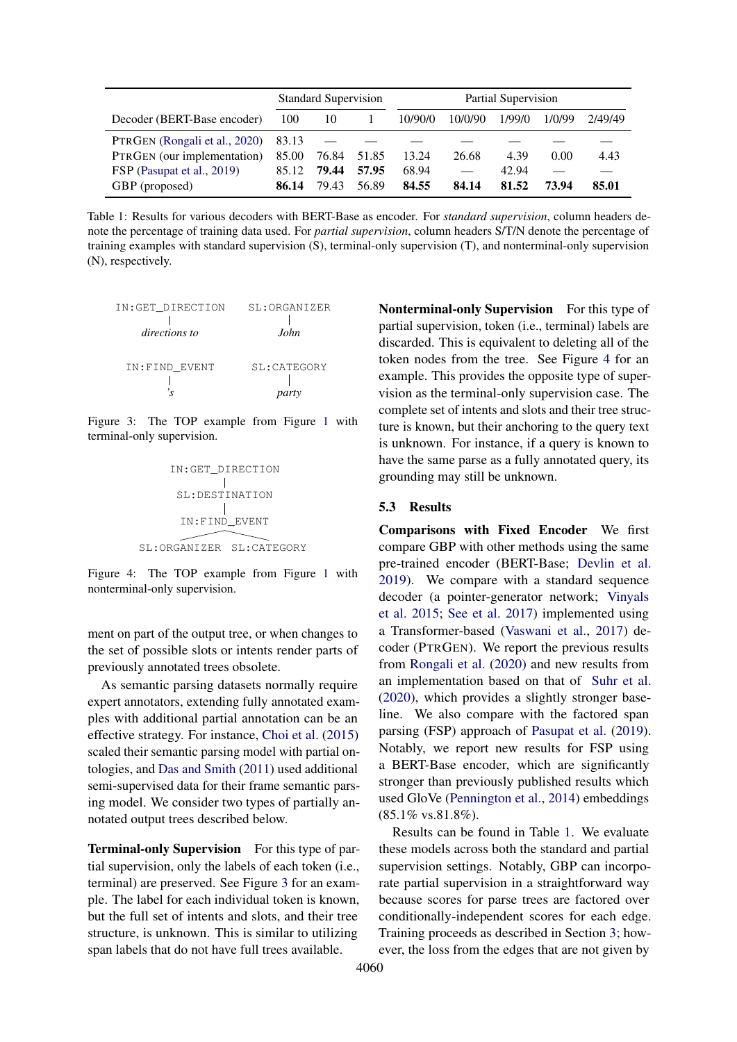<span id="page-3-2"></span>

|                               | <b>Standard Supervision</b> |       | Partial Supervision |         |         |        |        |         |
|-------------------------------|-----------------------------|-------|---------------------|---------|---------|--------|--------|---------|
| Decoder (BERT-Base encoder)   | 100                         | 10    |                     | 10/90/0 | 10/0/90 | 1/99/0 | 1/0/99 | 2/49/49 |
| PTRGEN (Rongali et al., 2020) | 83.13                       |       |                     |         |         |        |        |         |
| PTRGEN (our implementation)   | 85.00                       | 76.84 | 51.85               | 13.24   | 26.68   | 4.39   | 0.00   | 4.43    |
| FSP (Pasupat et al., 2019)    | 85.12                       | 79.44 | 57.95               | 68.94   |         | 42.94  |        |         |
| GBP (proposed)                | 86.14                       | 79.43 | 56.89               | 84.55   | 84.14   | 81.52  | 73.94  | 85.01   |

Table 1: Results for various decoders with BERT-Base as encoder. For *standard supervision*, column headers denote the percentage of training data used. For *partial supervision*, column headers S/T/N denote the percentage of training examples with standard supervision (S), terminal-only supervision (T), and nonterminal-only supervision (N), respectively.

<span id="page-3-0"></span>

| IN:GET DIRECTION | SL: ORGANIZER   |
|------------------|-----------------|
| directions to    | John.           |
| IN:FIND EVENT    | $SI.:$ CATEGORY |
|                  |                 |

<span id="page-3-1"></span>Figure 3: The TOP example from Figure [1](#page-0-0) with terminal-only supervision.



Figure 4: The TOP example from Figure [1](#page-0-0) with nonterminal-only supervision.

ment on part of the output tree, or when changes to the set of possible slots or intents render parts of previously annotated trees obsolete.

As semantic parsing datasets normally require expert annotators, extending fully annotated examples with additional partial annotation can be an effective strategy. For instance, [Choi et al.](#page-5-11) [\(2015\)](#page-5-11) scaled their semantic parsing model with partial ontologies, and [Das and Smith](#page-5-12) [\(2011\)](#page-5-12) used additional semi-supervised data for their frame semantic parsing model. We consider two types of partially annotated output trees described below.

Terminal-only Supervision For this type of partial supervision, only the labels of each token (i.e., terminal) are preserved. See Figure [3](#page-3-0) for an example. The label for each individual token is known, but the full set of intents and slots, and their tree structure, is unknown. This is similar to utilizing span labels that do not have full trees available.

Nonterminal-only Supervision For this type of partial supervision, token (i.e., terminal) labels are discarded. This is equivalent to deleting all of the token nodes from the tree. See Figure [4](#page-3-1) for an example. This provides the opposite type of supervision as the terminal-only supervision case. The complete set of intents and slots and their tree structure is known, but their anchoring to the query text is unknown. For instance, if a query is known to have the same parse as a fully annotated query, its grounding may still be unknown.

### 5.3 Results

Comparisons with Fixed Encoder We first compare GBP with other methods using the same pre-trained encoder (BERT-Base; [Devlin et al.](#page-5-7) [2019\)](#page-5-7). We compare with a standard sequence decoder (a pointer-generator network; [Vinyals](#page-6-7) [et al.](#page-6-7) [2015;](#page-6-7) [See et al.](#page-6-8) [2017\)](#page-6-8) implemented using a Transformer-based [\(Vaswani et al.,](#page-6-5) [2017\)](#page-6-5) decoder (PTRGEN). We report the previous results from [Rongali et al.](#page-6-3) [\(2020\)](#page-6-3) and new results from an implementation based on that of [Suhr et al.](#page-6-9) [\(2020\)](#page-6-9), which provides a slightly stronger baseline. We also compare with the factored span parsing (FSP) approach of [Pasupat et al.](#page-6-6) [\(2019\)](#page-6-6). Notably, we report new results for FSP using a BERT-Base encoder, which are significantly stronger than previously published results which used GloVe [\(Pennington et al.,](#page-6-10) [2014\)](#page-6-10) embeddings  $(85.1\% \text{ vs.} 81.8\%).$ 

Results can be found in Table [1.](#page-3-2) We evaluate these models across both the standard and partial supervision settings. Notably, GBP can incorporate partial supervision in a straightforward way because scores for parse trees are factored over conditionally-independent scores for each edge. Training proceeds as described in Section [3;](#page-1-5) however, the loss from the edges that are not given by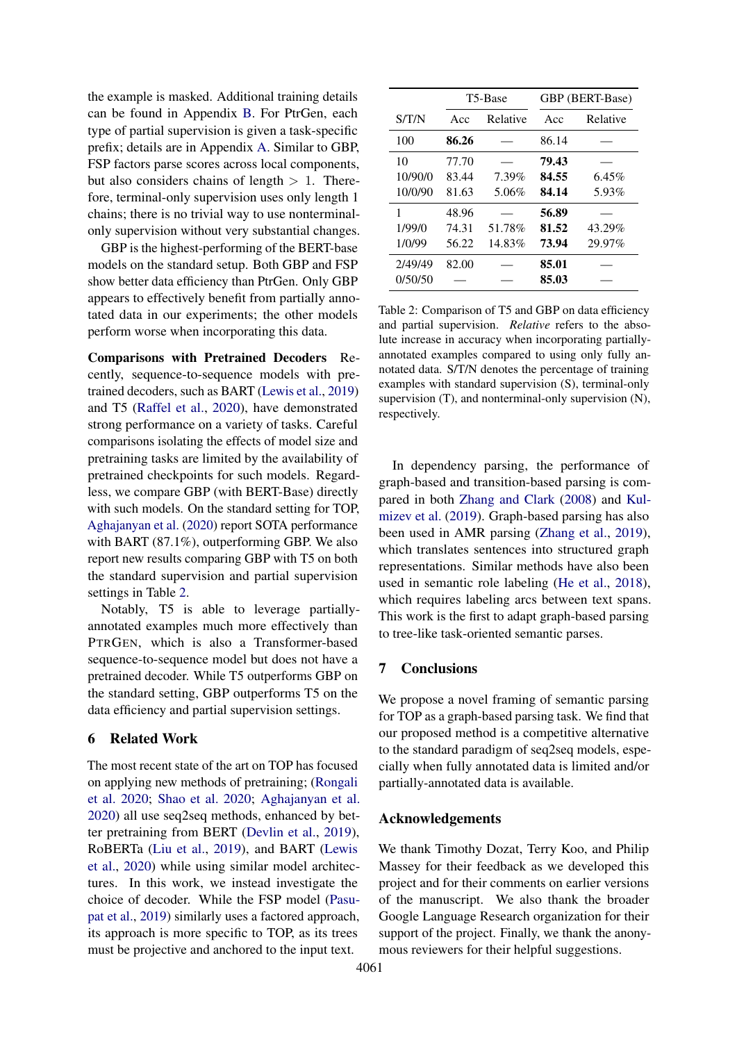the example is masked. Additional training details can be found in Appendix [B.](#page-7-0) For PtrGen, each type of partial supervision is given a task-specific prefix; details are in Appendix [A.](#page-7-1) Similar to GBP, FSP factors parse scores across local components, but also considers chains of length  $> 1$ . Therefore, terminal-only supervision uses only length 1 chains; there is no trivial way to use nonterminalonly supervision without very substantial changes.

GBP is the highest-performing of the BERT-base models on the standard setup. Both GBP and FSP show better data efficiency than PtrGen. Only GBP appears to effectively benefit from partially annotated data in our experiments; the other models perform worse when incorporating this data.

Comparisons with Pretrained Decoders Recently, sequence-to-sequence models with pretrained decoders, such as BART [\(Lewis et al.,](#page-6-11) [2019\)](#page-6-11) and T5 [\(Raffel et al.,](#page-6-12) [2020\)](#page-6-12), have demonstrated strong performance on a variety of tasks. Careful comparisons isolating the effects of model size and pretraining tasks are limited by the availability of pretrained checkpoints for such models. Regardless, we compare GBP (with BERT-Base) directly with such models. On the standard setting for TOP, [Aghajanyan et al.](#page-5-6) [\(2020\)](#page-5-6) report SOTA performance with BART (87.1%), outperforming GBP. We also report new results comparing GBP with T5 on both the standard supervision and partial supervision settings in Table [2.](#page-4-0)

Notably, T5 is able to leverage partiallyannotated examples much more effectively than PTRGEN, which is also a Transformer-based sequence-to-sequence model but does not have a pretrained decoder. While T5 outperforms GBP on the standard setting, GBP outperforms T5 on the data efficiency and partial supervision settings.

#### 6 Related Work

The most recent state of the art on TOP has focused on applying new methods of pretraining; [\(Rongali](#page-6-3) [et al.](#page-6-3) [2020;](#page-6-3) [Shao et al.](#page-6-4) [2020;](#page-6-4) [Aghajanyan et al.](#page-5-6) [2020\)](#page-5-6) all use seq2seq methods, enhanced by better pretraining from BERT [\(Devlin et al.,](#page-5-7) [2019\)](#page-5-7), RoBERTa [\(Liu et al.,](#page-6-13) [2019\)](#page-6-13), and BART [\(Lewis](#page-6-14) [et al.,](#page-6-14) [2020\)](#page-6-14) while using similar model architectures. In this work, we instead investigate the choice of decoder. While the FSP model [\(Pasu](#page-6-6)[pat et al.,](#page-6-6) [2019\)](#page-6-6) similarly uses a factored approach, its approach is more specific to TOP, as its trees must be projective and anchored to the input text.

<span id="page-4-0"></span>

|         |       | T5-Base  |       | GBP (BERT-Base) |  |  |
|---------|-------|----------|-------|-----------------|--|--|
| S/T/N   | Acc   | Relative | Acc   | Relative        |  |  |
| 100     | 86.26 |          | 86.14 |                 |  |  |
| 10      | 77.70 |          | 79.43 |                 |  |  |
| 10/90/0 | 83.44 | 7.39%    | 84.55 | $6.45\%$        |  |  |
| 10/0/90 | 81.63 | 5.06%    | 84.14 | 5.93%           |  |  |
| 1       | 48.96 |          | 56.89 |                 |  |  |
| 1/99/0  | 74.31 | 51.78%   | 81.52 | 43.29%          |  |  |
| 1/0/99  | 56.22 | 14.83%   | 73.94 | 29.97%          |  |  |
| 2/49/49 | 82.00 |          | 85.01 |                 |  |  |
| 0/50/50 |       |          | 85.03 |                 |  |  |

Table 2: Comparison of T5 and GBP on data efficiency and partial supervision. *Relative* refers to the absolute increase in accuracy when incorporating partiallyannotated examples compared to using only fully annotated data. S/T/N denotes the percentage of training examples with standard supervision (S), terminal-only supervision (T), and nonterminal-only supervision (N), respectively.

In dependency parsing, the performance of graph-based and transition-based parsing is compared in both [Zhang and Clark](#page-6-15) [\(2008\)](#page-6-15) and [Kul](#page-5-3)[mizev et al.](#page-5-3) [\(2019\)](#page-5-3). Graph-based parsing has also been used in AMR parsing [\(Zhang et al.,](#page-6-1) [2019\)](#page-6-1), which translates sentences into structured graph representations. Similar methods have also been used in semantic role labeling [\(He et al.,](#page-5-13) [2018\)](#page-5-13), which requires labeling arcs between text spans. This work is the first to adapt graph-based parsing to tree-like task-oriented semantic parses.

## 7 Conclusions

We propose a novel framing of semantic parsing for TOP as a graph-based parsing task. We find that our proposed method is a competitive alternative to the standard paradigm of seq2seq models, especially when fully annotated data is limited and/or partially-annotated data is available.

### Acknowledgements

We thank Timothy Dozat, Terry Koo, and Philip Massey for their feedback as we developed this project and for their comments on earlier versions of the manuscript. We also thank the broader Google Language Research organization for their support of the project. Finally, we thank the anonymous reviewers for their helpful suggestions.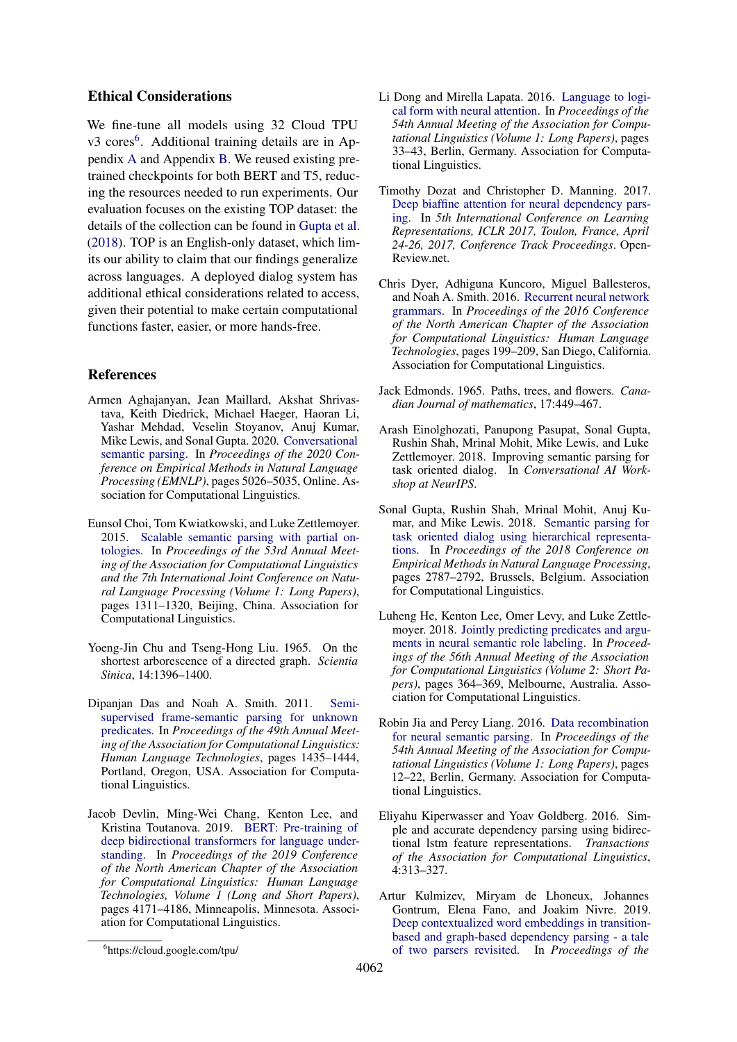### Ethical Considerations

We fine-tune all models using 32 Cloud TPU v3 cores<sup>[6](#page-5-14)</sup>. Additional training details are in Appendix [A](#page-7-1) and Appendix [B.](#page-7-0) We reused existing pretrained checkpoints for both BERT and T5, reducing the resources needed to run experiments. Our evaluation focuses on the existing TOP dataset: the details of the collection can be found in [Gupta et al.](#page-5-0) [\(2018\)](#page-5-0). TOP is an English-only dataset, which limits our ability to claim that our findings generalize across languages. A deployed dialog system has additional ethical considerations related to access, given their potential to make certain computational functions faster, easier, or more hands-free.

## References

- <span id="page-5-6"></span>Armen Aghajanyan, Jean Maillard, Akshat Shrivastava, Keith Diedrick, Michael Haeger, Haoran Li, Yashar Mehdad, Veselin Stoyanov, Anuj Kumar, Mike Lewis, and Sonal Gupta. 2020. [Conversational](https://www.aclweb.org/anthology/2020.emnlp-main.408) [semantic parsing.](https://www.aclweb.org/anthology/2020.emnlp-main.408) In *Proceedings of the 2020 Conference on Empirical Methods in Natural Language Processing (EMNLP)*, pages 5026–5035, Online. Association for Computational Linguistics.
- <span id="page-5-11"></span>Eunsol Choi, Tom Kwiatkowski, and Luke Zettlemoyer. 2015. [Scalable semantic parsing with partial on](https://doi.org/10.3115/v1/P15-1127)[tologies.](https://doi.org/10.3115/v1/P15-1127) In *Proceedings of the 53rd Annual Meeting of the Association for Computational Linguistics and the 7th International Joint Conference on Natural Language Processing (Volume 1: Long Papers)*, pages 1311–1320, Beijing, China. Association for Computational Linguistics.
- <span id="page-5-8"></span>Yoeng-Jin Chu and Tseng-Hong Liu. 1965. On the shortest arborescence of a directed graph. *Scientia Sinica*, 14:1396–1400.
- <span id="page-5-12"></span>Dipanjan Das and Noah A. Smith. 2011. [Semi](https://www.aclweb.org/anthology/P11-1144)[supervised frame-semantic parsing for unknown](https://www.aclweb.org/anthology/P11-1144) [predicates.](https://www.aclweb.org/anthology/P11-1144) In *Proceedings of the 49th Annual Meeting of the Association for Computational Linguistics: Human Language Technologies*, pages 1435–1444, Portland, Oregon, USA. Association for Computational Linguistics.
- <span id="page-5-7"></span>Jacob Devlin, Ming-Wei Chang, Kenton Lee, and Kristina Toutanova. 2019. [BERT: Pre-training of](https://doi.org/10.18653/v1/N19-1423) [deep bidirectional transformers for language under](https://doi.org/10.18653/v1/N19-1423)[standing.](https://doi.org/10.18653/v1/N19-1423) In *Proceedings of the 2019 Conference of the North American Chapter of the Association for Computational Linguistics: Human Language Technologies, Volume 1 (Long and Short Papers)*, pages 4171–4186, Minneapolis, Minnesota. Association for Computational Linguistics.
- <span id="page-5-4"></span>Li Dong and Mirella Lapata. 2016. [Language to logi](https://doi.org/10.18653/v1/P16-1004)[cal form with neural attention.](https://doi.org/10.18653/v1/P16-1004) In *Proceedings of the 54th Annual Meeting of the Association for Computational Linguistics (Volume 1: Long Papers)*, pages 33–43, Berlin, Germany. Association for Computational Linguistics.
- <span id="page-5-2"></span>Timothy Dozat and Christopher D. Manning. 2017. [Deep biaffine attention for neural dependency pars](https://openreview.net/forum?id=Hk95PK9le)[ing.](https://openreview.net/forum?id=Hk95PK9le) In *5th International Conference on Learning Representations, ICLR 2017, Toulon, France, April 24-26, 2017, Conference Track Proceedings*. Open-Review.net.
- <span id="page-5-15"></span>Chris Dyer, Adhiguna Kuncoro, Miguel Ballesteros, and Noah A. Smith. 2016. [Recurrent neural network](https://doi.org/10.18653/v1/N16-1024) [grammars.](https://doi.org/10.18653/v1/N16-1024) In *Proceedings of the 2016 Conference of the North American Chapter of the Association for Computational Linguistics: Human Language Technologies*, pages 199–209, San Diego, California. Association for Computational Linguistics.
- <span id="page-5-9"></span>Jack Edmonds. 1965. Paths, trees, and flowers. *Canadian Journal of mathematics*, 17:449–467.
- <span id="page-5-10"></span>Arash Einolghozati, Panupong Pasupat, Sonal Gupta, Rushin Shah, Mrinal Mohit, Mike Lewis, and Luke Zettlemoyer. 2018. Improving semantic parsing for task oriented dialog. In *Conversational AI Workshop at NeurIPS*.
- <span id="page-5-0"></span>Sonal Gupta, Rushin Shah, Mrinal Mohit, Anuj Kumar, and Mike Lewis. 2018. [Semantic parsing for](https://doi.org/10.18653/v1/D18-1300) [task oriented dialog using hierarchical representa](https://doi.org/10.18653/v1/D18-1300)[tions.](https://doi.org/10.18653/v1/D18-1300) In *Proceedings of the 2018 Conference on Empirical Methods in Natural Language Processing*, pages 2787–2792, Brussels, Belgium. Association for Computational Linguistics.
- <span id="page-5-13"></span>Luheng He, Kenton Lee, Omer Levy, and Luke Zettlemoyer. 2018. [Jointly predicting predicates and argu](https://doi.org/10.18653/v1/P18-2058)[ments in neural semantic role labeling.](https://doi.org/10.18653/v1/P18-2058) In *Proceedings of the 56th Annual Meeting of the Association for Computational Linguistics (Volume 2: Short Papers)*, pages 364–369, Melbourne, Australia. Association for Computational Linguistics.
- <span id="page-5-5"></span>Robin Jia and Percy Liang. 2016. [Data recombination](https://doi.org/10.18653/v1/P16-1002) [for neural semantic parsing.](https://doi.org/10.18653/v1/P16-1002) In *Proceedings of the 54th Annual Meeting of the Association for Computational Linguistics (Volume 1: Long Papers)*, pages 12–22, Berlin, Germany. Association for Computational Linguistics.
- <span id="page-5-1"></span>Eliyahu Kiperwasser and Yoav Goldberg. 2016. Simple and accurate dependency parsing using bidirectional lstm feature representations. *Transactions of the Association for Computational Linguistics*, 4:313–327.
- <span id="page-5-3"></span>Artur Kulmizev, Miryam de Lhoneux, Johannes Gontrum, Elena Fano, and Joakim Nivre. 2019. [Deep contextualized word embeddings in transition](https://doi.org/10.18653/v1/D19-1277)[based and graph-based dependency parsing - a tale](https://doi.org/10.18653/v1/D19-1277) [of two parsers revisited.](https://doi.org/10.18653/v1/D19-1277) In *Proceedings of the*

<span id="page-5-14"></span><sup>6</sup> https://cloud.google.com/tpu/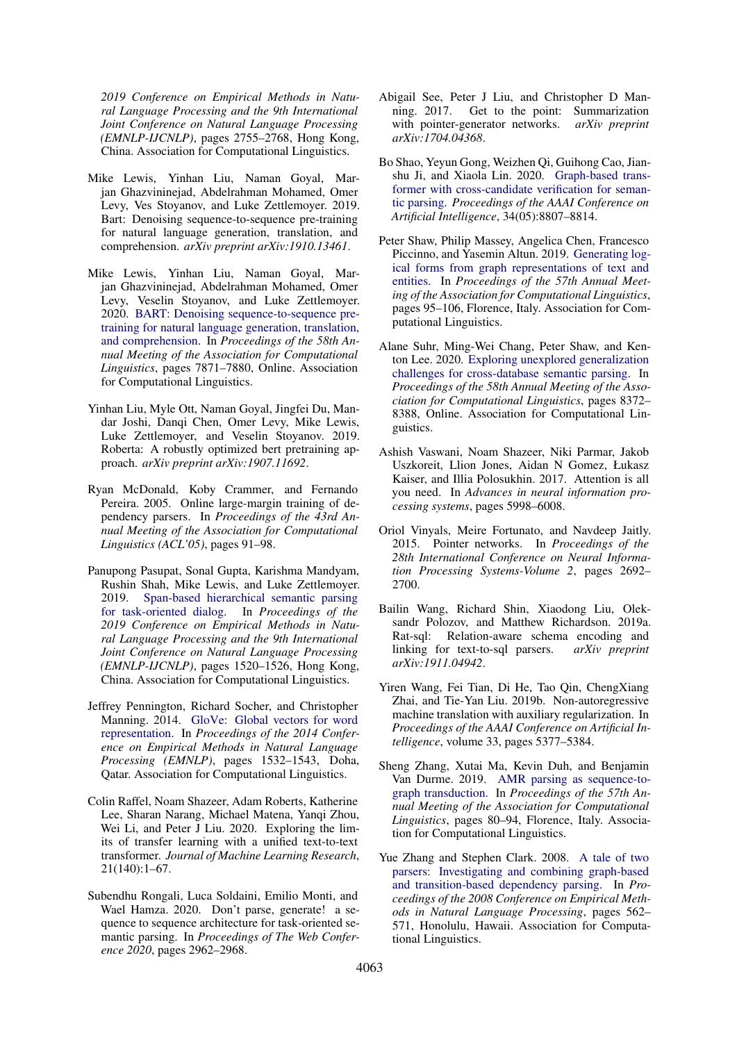*2019 Conference on Empirical Methods in Natural Language Processing and the 9th International Joint Conference on Natural Language Processing (EMNLP-IJCNLP)*, pages 2755–2768, Hong Kong, China. Association for Computational Linguistics.

- <span id="page-6-11"></span>Mike Lewis, Yinhan Liu, Naman Goyal, Marjan Ghazvininejad, Abdelrahman Mohamed, Omer Levy, Ves Stoyanov, and Luke Zettlemoyer. 2019. Bart: Denoising sequence-to-sequence pre-training for natural language generation, translation, and comprehension. *arXiv preprint arXiv:1910.13461*.
- <span id="page-6-14"></span>Mike Lewis, Yinhan Liu, Naman Goyal, Marjan Ghazvininejad, Abdelrahman Mohamed, Omer Levy, Veselin Stoyanov, and Luke Zettlemoyer. 2020. [BART: Denoising sequence-to-sequence pre](https://doi.org/10.18653/v1/2020.acl-main.703)[training for natural language generation, translation,](https://doi.org/10.18653/v1/2020.acl-main.703) [and comprehension.](https://doi.org/10.18653/v1/2020.acl-main.703) In *Proceedings of the 58th Annual Meeting of the Association for Computational Linguistics*, pages 7871–7880, Online. Association for Computational Linguistics.
- <span id="page-6-13"></span>Yinhan Liu, Myle Ott, Naman Goyal, Jingfei Du, Mandar Joshi, Danqi Chen, Omer Levy, Mike Lewis, Luke Zettlemoyer, and Veselin Stoyanov. 2019. Roberta: A robustly optimized bert pretraining approach. *arXiv preprint arXiv:1907.11692*.
- <span id="page-6-0"></span>Ryan McDonald, Koby Crammer, and Fernando Pereira. 2005. Online large-margin training of dependency parsers. In *Proceedings of the 43rd Annual Meeting of the Association for Computational Linguistics (ACL'05)*, pages 91–98.
- <span id="page-6-6"></span>Panupong Pasupat, Sonal Gupta, Karishma Mandyam, Rushin Shah, Mike Lewis, and Luke Zettlemoyer. 2019. [Span-based hierarchical semantic parsing](https://doi.org/10.18653/v1/D19-1163) [for task-oriented dialog.](https://doi.org/10.18653/v1/D19-1163) In *Proceedings of the 2019 Conference on Empirical Methods in Natural Language Processing and the 9th International Joint Conference on Natural Language Processing (EMNLP-IJCNLP)*, pages 1520–1526, Hong Kong, China. Association for Computational Linguistics.
- <span id="page-6-10"></span>Jeffrey Pennington, Richard Socher, and Christopher Manning. 2014. [GloVe: Global vectors for word](https://doi.org/10.3115/v1/D14-1162) [representation.](https://doi.org/10.3115/v1/D14-1162) In *Proceedings of the 2014 Conference on Empirical Methods in Natural Language Processing (EMNLP)*, pages 1532–1543, Doha, Qatar. Association for Computational Linguistics.
- <span id="page-6-12"></span>Colin Raffel, Noam Shazeer, Adam Roberts, Katherine Lee, Sharan Narang, Michael Matena, Yanqi Zhou, Wei Li, and Peter J Liu. 2020. Exploring the limits of transfer learning with a unified text-to-text transformer. *Journal of Machine Learning Research*, 21(140):1–67.
- <span id="page-6-3"></span>Subendhu Rongali, Luca Soldaini, Emilio Monti, and Wael Hamza. 2020. Don't parse, generate! a sequence to sequence architecture for task-oriented semantic parsing. In *Proceedings of The Web Conference 2020*, pages 2962–2968.
- <span id="page-6-8"></span>Abigail See, Peter J Liu, and Christopher D Manning. 2017. Get to the point: Summarization with pointer-generator networks. *arXiv preprint arXiv:1704.04368*.
- <span id="page-6-4"></span>Bo Shao, Yeyun Gong, Weizhen Qi, Guihong Cao, Jianshu Ji, and Xiaola Lin. 2020. [Graph-based trans](https://doi.org/10.1609/aaai.v34i05.6408)[former with cross-candidate verification for seman](https://doi.org/10.1609/aaai.v34i05.6408)[tic parsing.](https://doi.org/10.1609/aaai.v34i05.6408) *Proceedings of the AAAI Conference on Artificial Intelligence*, 34(05):8807–8814.
- <span id="page-6-16"></span>Peter Shaw, Philip Massey, Angelica Chen, Francesco Piccinno, and Yasemin Altun. 2019. [Generating log](https://doi.org/10.18653/v1/P19-1010)[ical forms from graph representations of text and](https://doi.org/10.18653/v1/P19-1010) [entities.](https://doi.org/10.18653/v1/P19-1010) In *Proceedings of the 57th Annual Meeting of the Association for Computational Linguistics*, pages 95–106, Florence, Italy. Association for Computational Linguistics.
- <span id="page-6-9"></span>Alane Suhr, Ming-Wei Chang, Peter Shaw, and Kenton Lee. 2020. [Exploring unexplored generalization](https://doi.org/10.18653/v1/2020.acl-main.742) [challenges for cross-database semantic parsing.](https://doi.org/10.18653/v1/2020.acl-main.742) In *Proceedings of the 58th Annual Meeting of the Association for Computational Linguistics*, pages 8372– 8388, Online. Association for Computational Linguistics.
- <span id="page-6-5"></span>Ashish Vaswani, Noam Shazeer, Niki Parmar, Jakob Uszkoreit, Llion Jones, Aidan N Gomez, Łukasz Kaiser, and Illia Polosukhin. 2017. Attention is all you need. In *Advances in neural information processing systems*, pages 5998–6008.
- <span id="page-6-7"></span>Oriol Vinyals, Meire Fortunato, and Navdeep Jaitly. 2015. Pointer networks. In *Proceedings of the 28th International Conference on Neural Information Processing Systems-Volume 2*, pages 2692– 2700.
- <span id="page-6-2"></span>Bailin Wang, Richard Shin, Xiaodong Liu, Oleksandr Polozov, and Matthew Richardson. 2019a. Rat-sql: Relation-aware schema encoding and linking for text-to-sql parsers. *arXiv preprint arXiv:1911.04942*.
- <span id="page-6-17"></span>Yiren Wang, Fei Tian, Di He, Tao Qin, ChengXiang Zhai, and Tie-Yan Liu. 2019b. Non-autoregressive machine translation with auxiliary regularization. In *Proceedings of the AAAI Conference on Artificial Intelligence*, volume 33, pages 5377–5384.
- <span id="page-6-1"></span>Sheng Zhang, Xutai Ma, Kevin Duh, and Benjamin Van Durme. 2019. [AMR parsing as sequence-to](https://doi.org/10.18653/v1/P19-1009)[graph transduction.](https://doi.org/10.18653/v1/P19-1009) In *Proceedings of the 57th Annual Meeting of the Association for Computational Linguistics*, pages 80–94, Florence, Italy. Association for Computational Linguistics.
- <span id="page-6-15"></span>Yue Zhang and Stephen Clark. 2008. [A tale of two](https://www.aclweb.org/anthology/D08-1059) [parsers: Investigating and combining graph-based](https://www.aclweb.org/anthology/D08-1059) [and transition-based dependency parsing.](https://www.aclweb.org/anthology/D08-1059) In *Proceedings of the 2008 Conference on Empirical Methods in Natural Language Processing*, pages 562– 571, Honolulu, Hawaii. Association for Computational Linguistics.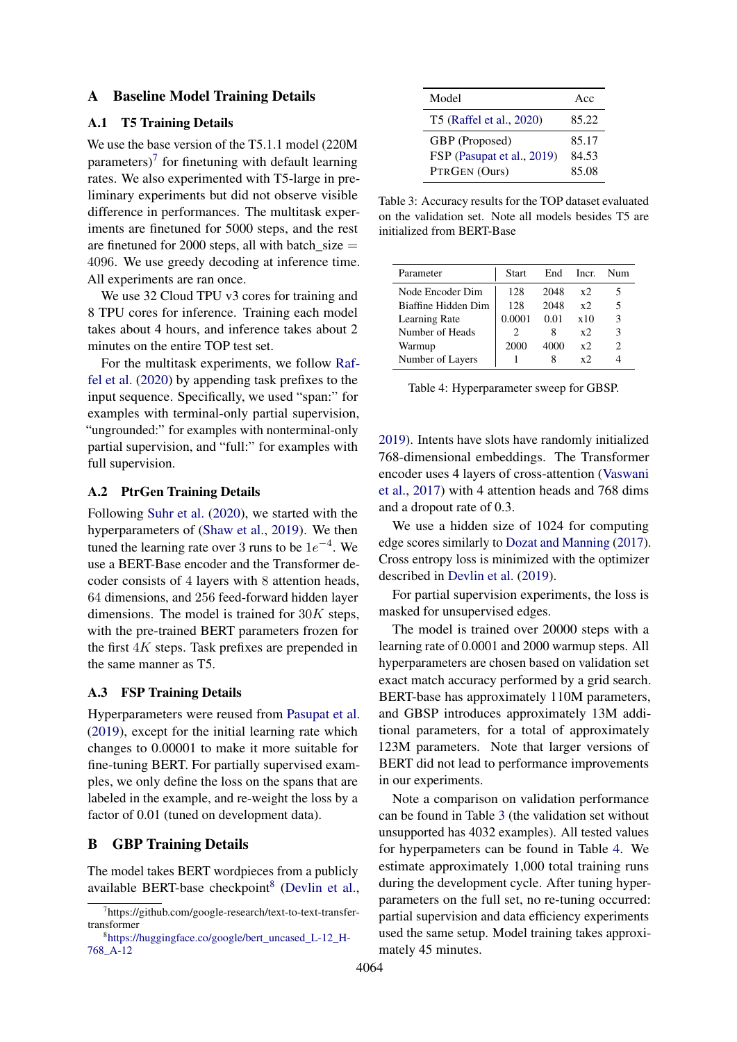#### <span id="page-7-1"></span>A Baseline Model Training Details

#### A.1 T5 Training Details

We use the base version of the T5.1.1 model (220M parameters) $\frac{7}{7}$  $\frac{7}{7}$  $\frac{7}{7}$  for finetuning with default learning rates. We also experimented with T5-large in preliminary experiments but did not observe visible difference in performances. The multitask experiments are finetuned for 5000 steps, and the rest are finetuned for 2000 steps, all with batch  $size =$ 4096. We use greedy decoding at inference time. All experiments are ran once.

We use 32 Cloud TPU v3 cores for training and 8 TPU cores for inference. Training each model takes about 4 hours, and inference takes about 2 minutes on the entire TOP test set.

For the multitask experiments, we follow [Raf](#page-6-12)[fel et al.](#page-6-12) [\(2020\)](#page-6-12) by appending task prefixes to the input sequence. Specifically, we used "span:" for examples with terminal-only partial supervision, "ungrounded:" for examples with nonterminal-only partial supervision, and "full:" for examples with full supervision.

#### A.2 PtrGen Training Details

Following [Suhr et al.](#page-6-9) [\(2020\)](#page-6-9), we started with the hyperparameters of [\(Shaw et al.,](#page-6-16) [2019\)](#page-6-16). We then tuned the learning rate over 3 runs to be  $1e^{-4}$ . We use a BERT-Base encoder and the Transformer decoder consists of 4 layers with 8 attention heads, 64 dimensions, and 256 feed-forward hidden layer dimensions. The model is trained for  $30K$  steps, with the pre-trained BERT parameters frozen for the first 4K steps. Task prefixes are prepended in the same manner as T5.

#### A.3 FSP Training Details

Hyperparameters were reused from [Pasupat et al.](#page-6-6) [\(2019\)](#page-6-6), except for the initial learning rate which changes to 0.00001 to make it more suitable for fine-tuning BERT. For partially supervised examples, we only define the loss on the spans that are labeled in the example, and re-weight the loss by a factor of 0.01 (tuned on development data).

#### <span id="page-7-0"></span>B GBP Training Details

The model takes BERT wordpieces from a publicly available BERT-base checkpoint<sup>[8](#page-7-3)</sup> [\(Devlin et al.,](#page-5-7)

<span id="page-7-4"></span>

| Model                      | Acc   |  |
|----------------------------|-------|--|
| T5 (Raffel et al., 2020)   | 85.22 |  |
| GBP (Proposed)             | 85.17 |  |
| FSP (Pasupat et al., 2019) | 84.53 |  |
| PTRGEN (Ours)              | 85.08 |  |

Table 3: Accuracy results for the TOP dataset evaluated on the validation set. Note all models besides T5 are initialized from BERT-Base

<span id="page-7-5"></span>

| Parameter           | <b>Start</b> | End  | Incr.        | Num |
|---------------------|--------------|------|--------------|-----|
| Node Encoder Dim    | 128          | 2048 | $x^{\prime}$ | 5   |
| Biaffine Hidden Dim | 128          | 2048 | $x^{\prime}$ | 5   |
| Learning Rate       | 0.0001       | 0.01 | x10          | 3   |
| Number of Heads     | 2            | x    | $x^2$        | 3   |
| Warmup              | 2000         | 4000 | $x^{\prime}$ | 2   |
| Number of Layers    |              | x    | $x^{\prime}$ |     |

Table 4: Hyperparameter sweep for GBSP.

[2019\)](#page-5-7). Intents have slots have randomly initialized 768-dimensional embeddings. The Transformer encoder uses 4 layers of cross-attention [\(Vaswani](#page-6-5) [et al.,](#page-6-5) [2017\)](#page-6-5) with 4 attention heads and 768 dims and a dropout rate of 0.3.

We use a hidden size of 1024 for computing edge scores similarly to [Dozat and Manning](#page-5-2) [\(2017\)](#page-5-2). Cross entropy loss is minimized with the optimizer described in [Devlin et al.](#page-5-7) [\(2019\)](#page-5-7).

For partial supervision experiments, the loss is masked for unsupervised edges.

The model is trained over 20000 steps with a learning rate of 0.0001 and 2000 warmup steps. All hyperparameters are chosen based on validation set exact match accuracy performed by a grid search. BERT-base has approximately 110M parameters, and GBSP introduces approximately 13M additional parameters, for a total of approximately 123M parameters. Note that larger versions of BERT did not lead to performance improvements in our experiments.

Note a comparison on validation performance can be found in Table [3](#page-7-4) (the validation set without unsupported has 4032 examples). All tested values for hyperpameters can be found in Table [4.](#page-7-5) We estimate approximately 1,000 total training runs during the development cycle. After tuning hyperparameters on the full set, no re-tuning occurred: partial supervision and data efficiency experiments used the same setup. Model training takes approximately 45 minutes.

<span id="page-7-2"></span><sup>7</sup> https://github.com/google-research/text-to-text-transfertransformer

<span id="page-7-3"></span><sup>8</sup> [https://huggingface.co/google/bert\\_uncased\\_L-12\\_H-](https://huggingface.co/google/bert_uncased_L-12_H-768_A-12)[768\\_A-12](https://huggingface.co/google/bert_uncased_L-12_H-768_A-12)